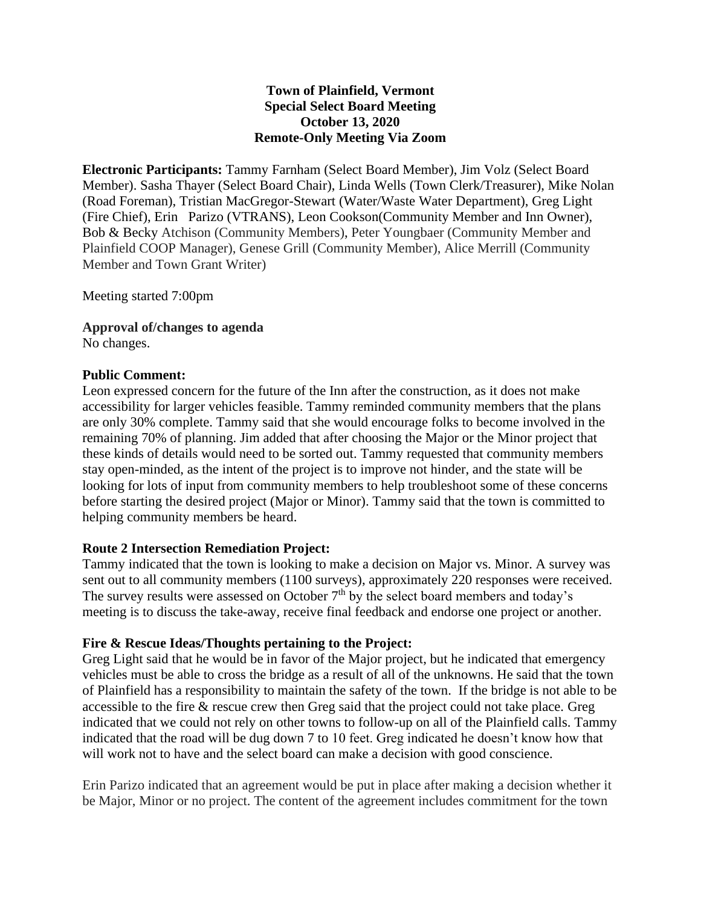# **Town of Plainfield, Vermont Special Select Board Meeting October 13, 2020 Remote-Only Meeting Via Zoom**

**Electronic Participants:** Tammy Farnham (Select Board Member), Jim Volz (Select Board Member). Sasha Thayer (Select Board Chair), Linda Wells (Town Clerk/Treasurer), Mike Nolan (Road Foreman), Tristian MacGregor-Stewart (Water/Waste Water Department), Greg Light (Fire Chief), Erin Parizo (VTRANS), Leon Cookson(Community Member and Inn Owner), Bob & Becky Atchison (Community Members), Peter Youngbaer (Community Member and Plainfield COOP Manager), Genese Grill (Community Member), Alice Merrill (Community Member and Town Grant Writer)

Meeting started 7:00pm

**Approval of/changes to agenda** No changes.

#### **Public Comment:**

Leon expressed concern for the future of the Inn after the construction, as it does not make accessibility for larger vehicles feasible. Tammy reminded community members that the plans are only 30% complete. Tammy said that she would encourage folks to become involved in the remaining 70% of planning. Jim added that after choosing the Major or the Minor project that these kinds of details would need to be sorted out. Tammy requested that community members stay open-minded, as the intent of the project is to improve not hinder, and the state will be looking for lots of input from community members to help troubleshoot some of these concerns before starting the desired project (Major or Minor). Tammy said that the town is committed to helping community members be heard.

### **Route 2 Intersection Remediation Project:**

Tammy indicated that the town is looking to make a decision on Major vs. Minor. A survey was sent out to all community members (1100 surveys), approximately 220 responses were received. The survey results were assessed on October  $7<sup>th</sup>$  by the select board members and today's meeting is to discuss the take-away, receive final feedback and endorse one project or another.

### **Fire & Rescue Ideas/Thoughts pertaining to the Project:**

Greg Light said that he would be in favor of the Major project, but he indicated that emergency vehicles must be able to cross the bridge as a result of all of the unknowns. He said that the town of Plainfield has a responsibility to maintain the safety of the town. If the bridge is not able to be accessible to the fire & rescue crew then Greg said that the project could not take place. Greg indicated that we could not rely on other towns to follow-up on all of the Plainfield calls. Tammy indicated that the road will be dug down 7 to 10 feet. Greg indicated he doesn't know how that will work not to have and the select board can make a decision with good conscience.

Erin Parizo indicated that an agreement would be put in place after making a decision whether it be Major, Minor or no project. The content of the agreement includes commitment for the town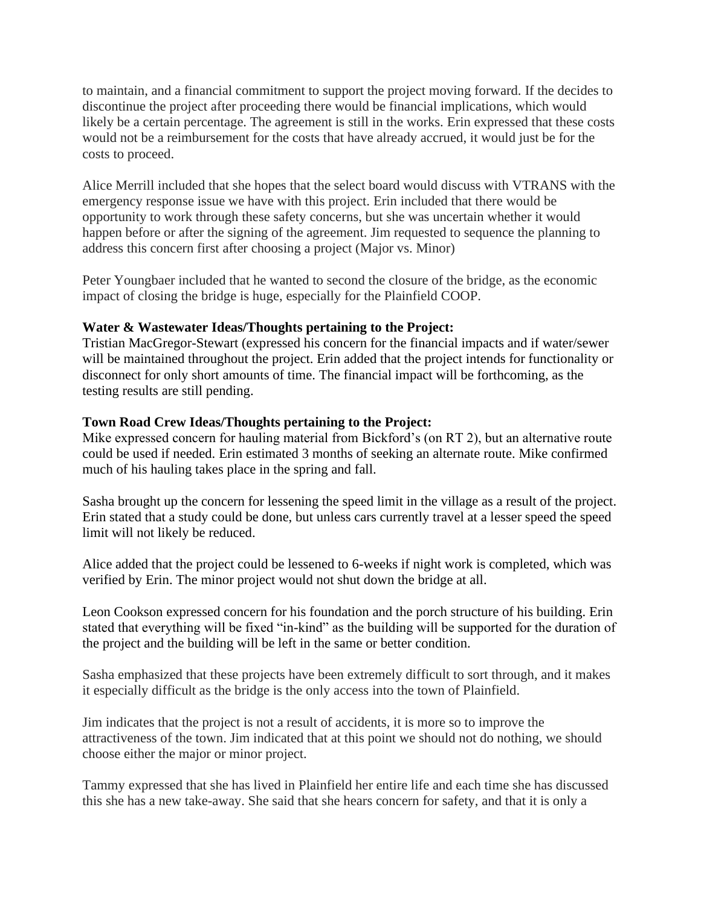to maintain, and a financial commitment to support the project moving forward. If the decides to discontinue the project after proceeding there would be financial implications, which would likely be a certain percentage. The agreement is still in the works. Erin expressed that these costs would not be a reimbursement for the costs that have already accrued, it would just be for the costs to proceed.

Alice Merrill included that she hopes that the select board would discuss with VTRANS with the emergency response issue we have with this project. Erin included that there would be opportunity to work through these safety concerns, but she was uncertain whether it would happen before or after the signing of the agreement. Jim requested to sequence the planning to address this concern first after choosing a project (Major vs. Minor)

Peter Youngbaer included that he wanted to second the closure of the bridge, as the economic impact of closing the bridge is huge, especially for the Plainfield COOP.

# **Water & Wastewater Ideas/Thoughts pertaining to the Project:**

Tristian MacGregor-Stewart (expressed his concern for the financial impacts and if water/sewer will be maintained throughout the project. Erin added that the project intends for functionality or disconnect for only short amounts of time. The financial impact will be forthcoming, as the testing results are still pending.

# **Town Road Crew Ideas/Thoughts pertaining to the Project:**

Mike expressed concern for hauling material from Bickford's (on RT 2), but an alternative route could be used if needed. Erin estimated 3 months of seeking an alternate route. Mike confirmed much of his hauling takes place in the spring and fall.

Sasha brought up the concern for lessening the speed limit in the village as a result of the project. Erin stated that a study could be done, but unless cars currently travel at a lesser speed the speed limit will not likely be reduced.

Alice added that the project could be lessened to 6-weeks if night work is completed, which was verified by Erin. The minor project would not shut down the bridge at all.

Leon Cookson expressed concern for his foundation and the porch structure of his building. Erin stated that everything will be fixed "in-kind" as the building will be supported for the duration of the project and the building will be left in the same or better condition.

Sasha emphasized that these projects have been extremely difficult to sort through, and it makes it especially difficult as the bridge is the only access into the town of Plainfield.

Jim indicates that the project is not a result of accidents, it is more so to improve the attractiveness of the town. Jim indicated that at this point we should not do nothing, we should choose either the major or minor project.

Tammy expressed that she has lived in Plainfield her entire life and each time she has discussed this she has a new take-away. She said that she hears concern for safety, and that it is only a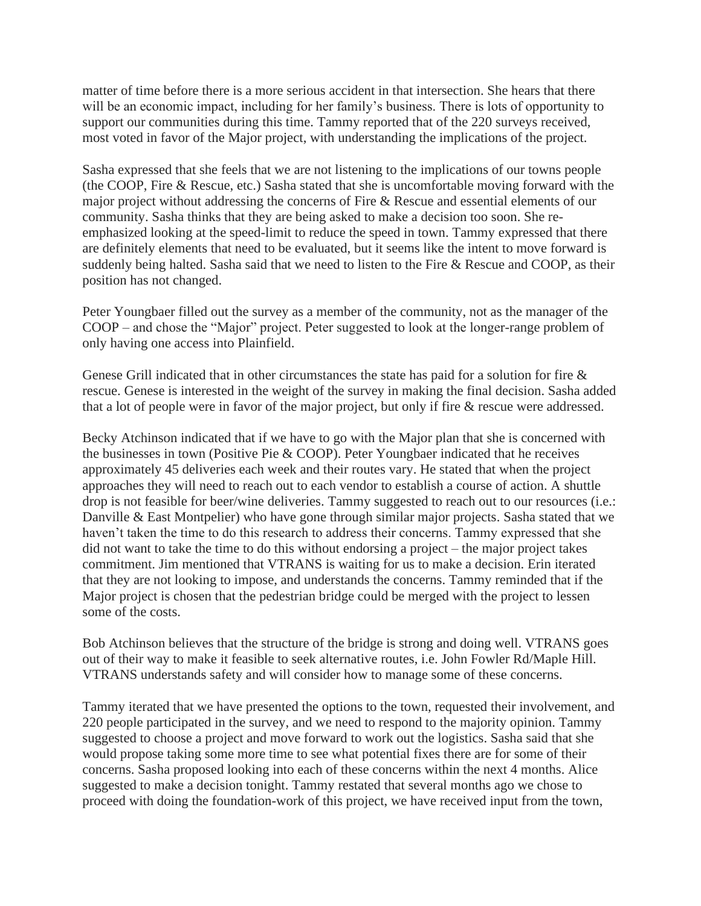matter of time before there is a more serious accident in that intersection. She hears that there will be an economic impact, including for her family's business. There is lots of opportunity to support our communities during this time. Tammy reported that of the 220 surveys received, most voted in favor of the Major project, with understanding the implications of the project.

Sasha expressed that she feels that we are not listening to the implications of our towns people (the COOP, Fire & Rescue, etc.) Sasha stated that she is uncomfortable moving forward with the major project without addressing the concerns of Fire & Rescue and essential elements of our community. Sasha thinks that they are being asked to make a decision too soon. She reemphasized looking at the speed-limit to reduce the speed in town. Tammy expressed that there are definitely elements that need to be evaluated, but it seems like the intent to move forward is suddenly being halted. Sasha said that we need to listen to the Fire & Rescue and COOP, as their position has not changed.

Peter Youngbaer filled out the survey as a member of the community, not as the manager of the COOP – and chose the "Major" project. Peter suggested to look at the longer-range problem of only having one access into Plainfield.

Genese Grill indicated that in other circumstances the state has paid for a solution for fire & rescue. Genese is interested in the weight of the survey in making the final decision. Sasha added that a lot of people were in favor of the major project, but only if fire & rescue were addressed.

Becky Atchinson indicated that if we have to go with the Major plan that she is concerned with the businesses in town (Positive Pie & COOP). Peter Youngbaer indicated that he receives approximately 45 deliveries each week and their routes vary. He stated that when the project approaches they will need to reach out to each vendor to establish a course of action. A shuttle drop is not feasible for beer/wine deliveries. Tammy suggested to reach out to our resources (i.e.: Danville & East Montpelier) who have gone through similar major projects. Sasha stated that we haven't taken the time to do this research to address their concerns. Tammy expressed that she did not want to take the time to do this without endorsing a project – the major project takes commitment. Jim mentioned that VTRANS is waiting for us to make a decision. Erin iterated that they are not looking to impose, and understands the concerns. Tammy reminded that if the Major project is chosen that the pedestrian bridge could be merged with the project to lessen some of the costs.

Bob Atchinson believes that the structure of the bridge is strong and doing well. VTRANS goes out of their way to make it feasible to seek alternative routes, i.e. John Fowler Rd/Maple Hill. VTRANS understands safety and will consider how to manage some of these concerns.

Tammy iterated that we have presented the options to the town, requested their involvement, and 220 people participated in the survey, and we need to respond to the majority opinion. Tammy suggested to choose a project and move forward to work out the logistics. Sasha said that she would propose taking some more time to see what potential fixes there are for some of their concerns. Sasha proposed looking into each of these concerns within the next 4 months. Alice suggested to make a decision tonight. Tammy restated that several months ago we chose to proceed with doing the foundation-work of this project, we have received input from the town,